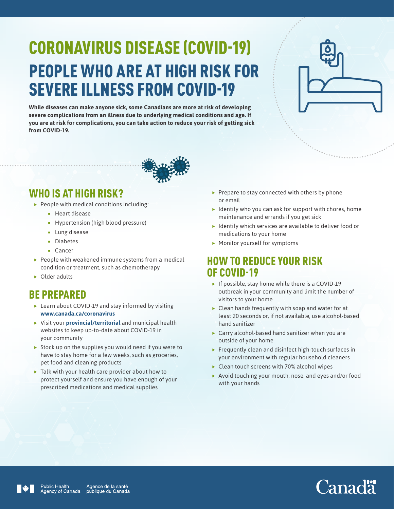# CORONAVIRUS DISEASE (COVID-19) PEOPLE WHO ARE AT HIGH RISK FOR SEVERE ILLNESS FROM COVID-19

**While diseases can make anyone sick, some Canadians are more at risk of developing severe complications from an illness due to underlying medical conditions and age. If you are at risk for complications, you can take action to reduce your risk of getting sick from COVID-19.** 





### WHO IS AT HIGH RISK?

- $\blacktriangleright$  People with medical conditions including:
	- **Heart disease**
	- **Hypertension (high blood pressure)**
	- **Lung disease**
	- **Diabetes**
	- Cancer
- $\blacktriangleright$  People with weakened immune systems from a medical condition or treatment, such as chemotherapy
- $\triangleright$  Older adults

## BE PREPARED

- $\blacktriangleright$  Learn about COVID-19 and stay informed by visiting **[www.canada.ca/coronavirus](http://www.canada.ca/coronavirus)**
- **Fig. 2** Visit your **[provincial/territorial](https://www.canada.ca/en/public-health/services/diseases/2019-novel-coronavirus-infection/symptoms/provincial-territorial-resources-covid-19.html)** and municipal health websites to keep up-to-date about COVID-19 in your community
- $\triangleright$  Stock up on the supplies you would need if you were to have to stay home for a few weeks, such as groceries, pet food and cleaning products
- $\blacktriangleright$  Talk with your health care provider about how to protect yourself and ensure you have enough of your prescribed medications and medical supplies
- $\blacktriangleright$  Prepare to stay connected with others by phone or email
- $\blacktriangleright$  Identify who you can ask for support with chores, home maintenance and errands if you get sick
- $\blacktriangleright$  Identify which services are available to deliver food or medications to your home
- $\blacktriangleright$  Monitor yourself for symptoms

#### HOW TO REDUCE YOUR RISK OF COVID-19

- $\blacktriangleright$  If possible, stay home while there is a COVID-19 outbreak in your community and limit the number of visitors to your home
- $\triangleright$  Clean hands frequently with soap and water for at least 20 seconds or, if not available, use alcohol-based hand sanitizer
- $\triangleright$  Carry alcohol-based hand sanitizer when you are outside of your home
- $\blacktriangleright$  Frequently clean and disinfect high-touch surfaces in your environment with regular household cleaners
- $\blacktriangleright$  Clean touch screens with 70% alcohol wipes
- $\blacktriangleright$  Avoid touching your mouth, nose, and eyes and/or food with your hands